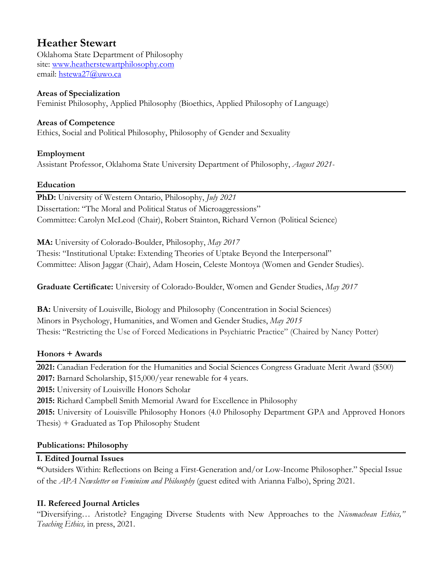# **Heather Stewart**

Oklahoma State Department of Philosophy site: www.heatherstewartphilosophy.com email: hstewa27@uwo.ca

### **Areas of Specialization**

Feminist Philosophy, Applied Philosophy (Bioethics, Applied Philosophy of Language)

### **Areas of Competence**

Ethics, Social and Political Philosophy, Philosophy of Gender and Sexuality

### **Employment**

Assistant Professor, Oklahoma State University Department of Philosophy, *August 2021-*

### **Education**

**PhD:** University of Western Ontario, Philosophy, *July 2021*  Dissertation: "The Moral and Political Status of Microaggressions" Committee: Carolyn McLeod (Chair), Robert Stainton, Richard Vernon (Political Science)

**MA:** University of Colorado-Boulder, Philosophy, *May 2017* 

Thesis: "Institutional Uptake: Extending Theories of Uptake Beyond the Interpersonal" Committee: Alison Jaggar (Chair), Adam Hosein, Celeste Montoya (Women and Gender Studies).

**Graduate Certificate:** University of Colorado-Boulder, Women and Gender Studies, *May 2017*

**BA:** University of Louisville, Biology and Philosophy (Concentration in Social Sciences) Minors in Psychology, Humanities, and Women and Gender Studies, *May 2015* Thesis: "Restricting the Use of Forced Medications in Psychiatric Practice" (Chaired by Nancy Potter)

### **Honors + Awards**

**2021:** Canadian Federation for the Humanities and Social Sciences Congress Graduate Merit Award (\$500) **2017:** Barnard Scholarship, \$15,000/year renewable for 4 years.

**2015:** University of Louisville Honors Scholar

**2015:** Richard Campbell Smith Memorial Award for Excellence in Philosophy

**2015:** University of Louisville Philosophy Honors (4.0 Philosophy Department GPA and Approved Honors Thesis) + Graduated as Top Philosophy Student

### **Publications: Philosophy**

### **I. Edited Journal Issues**

**"**Outsiders Within: Reflections on Being a First-Generation and/or Low-Income Philosopher." Special Issue of the *APA Newsletter on Feminism and Philosophy* (guest edited with Arianna Falbo), Spring 2021.

# **II. Refereed Journal Articles**

"Diversifying… Aristotle? Engaging Diverse Students with New Approaches to the *Nicomachean Ethics," Teaching Ethics,* in press, 2021.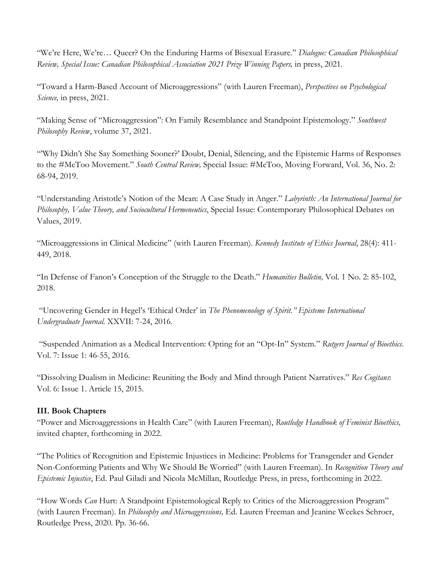"We're Here, We're… Queer? On the Enduring Harms of Bisexual Erasure." *Dialogue: Canadian Philosophical Review, Special Issue: Canadian Philosophical Association 2021 Prize Winning Papers,* in press, 2021.

"Toward a Harm-Based Account of Microaggressions" (with Lauren Freeman), *Perspectives on Psychological Science,* in press, 2021.

"Making Sense of "Microaggression": On Family Resemblance and Standpoint Epistemology." *Southwest Philosophy Review*, volume 37, 2021.

"'Why Didn't She Say Something Sooner?' Doubt, Denial, Silencing, and the Epistemic Harms of Responses to the #MeToo Movement." *South Central Review,* Special Issue: #MeToo, Moving Forward, Vol. 36, No. 2: 68-94, 2019.

"Understanding Aristotle's Notion of the Mean: A Case Study in Anger." *Labyrinth: An International Journal for Philosophy, Value Theory, and Sociocultural Hermeneutics*, Special Issue: Contemporary Philosophical Debates on Values, 2019.

"Microaggressions in Clinical Medicine" (with Lauren Freeman). *Kennedy Institute of Ethics Journal*, 28(4): 411- 449, 2018.

"In Defense of Fanon's Conception of the Struggle to the Death." *Humanities Bulletin,* Vol. 1 No. 2: 85-102, 2018.

"Uncovering Gender in Hegel's 'Ethical Order' in *The Phenomenology of Spirit." Episteme International Undergraduate Journal.* XXVII: 7-24, 2016.

"Suspended Animation as a Medical Intervention: Opting for an "Opt-In" System." *Rutgers Journal of Bioethics*. Vol. 7: Issue 1: 46-55, 2016.

"Dissolving Dualism in Medicine: Reuniting the Body and Mind through Patient Narratives." *Res Cogitans*: Vol. 6: Issue 1. Article 15, 2015.

#### **III. Book Chapters**

"Power and Microaggressions in Health Care" (with Lauren Freeman), *Routledge Handbook of Feminist Bioethics,* invited chapter, forthcoming in 2022.

"The Politics of Recognition and Epistemic Injustices in Medicine: Problems for Transgender and Gender Non-Conforming Patients and Why We Should Be Worried" (with Lauren Freeman). In *Recognition Theory and Epistemic Injustice*, Ed. Paul Giladi and Nicola McMillan, Routledge Press, in press, forthcoming in 2022.

"How Words *Can* Hurt: A Standpoint Epistemological Reply to Critics of the Microaggression Program" (with Lauren Freeman). In *Philosophy and Microaggressions,* Ed. Lauren Freeman and Jeanine Weekes Schroer, Routledge Press, 2020. Pp. 36-66.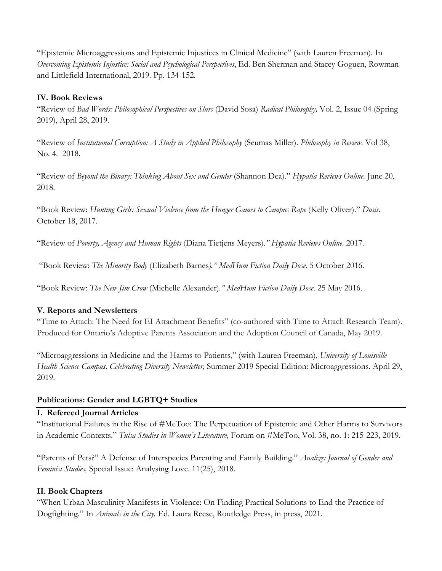"Epistemic Microaggressions and Epistemic Injustices in Clinical Medicine" (with Lauren Freeman). In *Overcoming Epistemic Injustice: Social and Psychological Perspectives*, Ed. Ben Sherman and Stacey Goguen, Rowman and Littlefield International, 2019. Pp. 134-152.

### **IV. Book Reviews**

"Review of *Bad Words: Philosophical Perspectives on Slurs* (David Sosa) *Radical Philosophy,* Vol. 2, Issue 04 (Spring 2019), April 28, 2019.

"Review of *Institutional Corruption: A Study in Applied Philosophy* (Seumas Miller). *Philosophy in Review.* Vol 38, No. 4.2018.

"Review of *Beyond the Binary: Thinking About Sex and Gender* (Shannon Dea)." *Hypatia Reviews Online.* June 20, 2018.

"Book Review: *Hunting Girls: Sexual Violence from the Hunger Games to Campus Rape (Kelly Oliver)." Dosis.* October 18, 2017.

"Review of *Poverty, Agency and Human Rights* (Diana Tietjens Meyers).*" Hypatia Reviews Online*. 2017.

"Book Review: *The Minority Body* (Elizabeth Barnes*)." MedHum Fiction Daily Dose.* 5 October 2016.

"Book Review: *The New Jim Crow* (Michelle Alexander)*." MedHum Fiction Daily Dose.* 25 May 2016.

### **V. Reports and Newsletters**

"Time to Attach: The Need for EI Attachment Benefits" (co-authored with Time to Attach Research Team). Produced for Ontario's Adoptive Parents Association and the Adoption Council of Canada, May 2019.

"Microaggressions in Medicine and the Harms to Patients," (with Lauren Freeman), *University of Louisville Health Science Campus, Celebrating Diversity Newsletter,* Summer 2019 Special Edition: Microaggressions. April 29, 2019.

### **Publications: Gender and LGBTQ+ Studies**

#### **I. Refereed Journal Articles**

"Institutional Failures in the Rise of #MeToo: The Perpetuation of Epistemic and Other Harms to Survivors in Academic Contexts." *Tulsa Studies in Women's Literature,* Forum on #MeToo, Vol. 38, no. 1: 215-223, 2019.

"Parents of Pets?" A Defense of Interspecies Parenting and Family Building." *Analize: Journal of Gender and Feminist Studies,* Special Issue: Analysing Love. 11(25), 2018.

### **II. Book Chapters**

"When Urban Masculinity Manifests in Violence: On Finding Practical Solutions to End the Practice of Dogfighting." In *Animals in the City,* Ed. Laura Reese, Routledge Press, in press, 2021.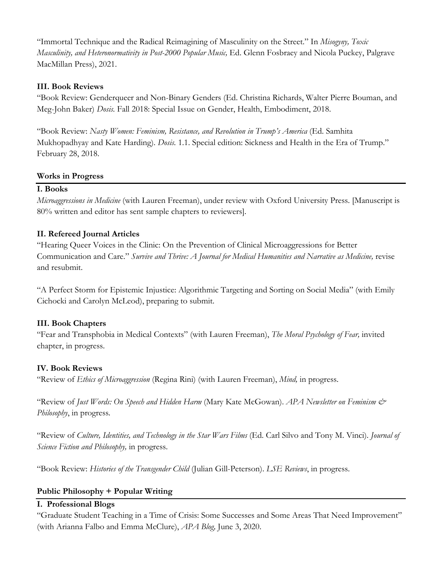"Immortal Technique and the Radical Reimagining of Masculinity on the Street." In *Misogyny, Toxic Masculinity, and Heteronormativity in Post-2000 Popular Music,* Ed. Glenn Fosbraey and Nicola Puckey, Palgrave MacMillan Press), 2021.

### **III. Book Reviews**

"Book Review: Genderqueer and Non-Binary Genders (Ed. Christina Richards, Walter Pierre Bouman, and Meg-John Baker) *Dosis.* Fall 2018: Special Issue on Gender, Health, Embodiment, 2018.

"Book Review: *Nasty Women: Feminism, Resistance, and Revolution in Trump's America* (Ed. Samhita Mukhopadhyay and Kate Harding). *Dosis.* 1.1. Special edition: Sickness and Health in the Era of Trump." February 28, 2018.

#### **Works in Progress**

# **I. Books**

*Microaggressions in Medicine* (with Lauren Freeman), under review with Oxford University Press. [Manuscript is 80% written and editor has sent sample chapters to reviewers].

### **II. Refereed Journal Articles**

"Hearing Queer Voices in the Clinic: On the Prevention of Clinical Microaggressions for Better Communication and Care." Survive and Thrive: A Journal for Medical Humanities and Narrative as Medicine, revise and resubmit.

"A Perfect Storm for Epistemic Injustice: Algorithmic Targeting and Sorting on Social Media" (with Emily Cichocki and Carolyn McLeod), preparing to submit.

#### **III. Book Chapters**

"Fear and Transphobia in Medical Contexts" (with Lauren Freeman), *The Moral Psychology of Fear,* invited chapter, in progress.

#### **IV. Book Reviews**

"Review of *Ethics of Microaggression* (Regina Rini) (with Lauren Freeman), *Mind,* in progress.

"Review of *Just Words: On Speech and Hidden Harm* (Mary Kate McGowan). *APA Newsletter on Feminism & Philosophy*, in progress*.* 

"Review of *Culture, Identities, and Technology in the Star Wars Films* (Ed. Carl Silvo and Tony M. Vinci). *Journal of Science Fiction and Philosophy,* in progress.

"Book Review: *Histories of the Transgender Child* (Julian Gill-Peterson). *LSE Reviews*, in progress.

### **Public Philosophy + Popular Writing**

#### **I. Professional Blogs**

"Graduate Student Teaching in a Time of Crisis: Some Successes and Some Areas That Need Improvement" (with Arianna Falbo and Emma McClure), *APA Blog,* June 3, 2020.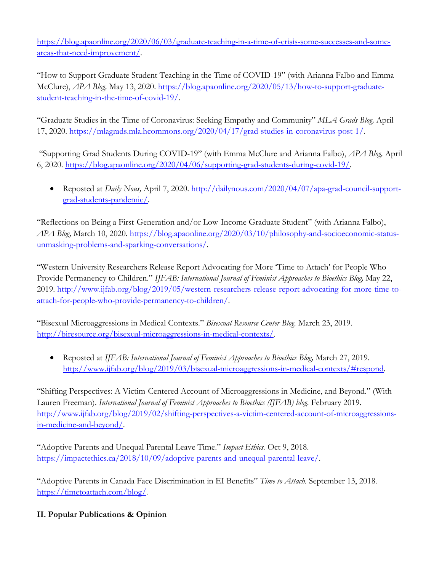https://blog.apaonline.org/2020/06/03/graduate-teaching-in-a-time-of-crisis-some-successes-and-someareas-that-need-improvement/.

"How to Support Graduate Student Teaching in the Time of COVID-19" (with Arianna Falbo and Emma McClure), *APA Blog,* May 13, 2020. https://blog.apaonline.org/2020/05/13/how-to-support-graduatestudent-teaching-in-the-time-of-covid-19/.

"Graduate Studies in the Time of Coronavirus: Seeking Empathy and Community" *MLA Grads Blog,* April 17, 2020. https://mlagrads.mla.hcommons.org/2020/04/17/grad-studies-in-coronavirus-post-1/.

"Supporting Grad Students During COVID-19" (with Emma McClure and Arianna Falbo), *APA Blog,* April 6, 2020. https://blog.apaonline.org/2020/04/06/supporting-grad-students-during-covid-19/.

• Reposted at *Daily Nous,* April 7, 2020. http://dailynous.com/2020/04/07/apa-grad-council-supportgrad-students-pandemic/.

"Reflections on Being a First-Generation and/or Low-Income Graduate Student" (with Arianna Falbo), *APA Blog,* March 10, 2020. https://blog.apaonline.org/2020/03/10/philosophy-and-socioeconomic-statusunmasking-problems-and-sparking-conversations/.

"Western University Researchers Release Report Advocating for More 'Time to Attach' for People Who Provide Permanency to Children." *IJFAB: International Journal of Feminist Approaches to Bioethics Blog,* May 22, 2019. http://www.ijfab.org/blog/2019/05/western-researchers-release-report-advocating-for-more-time-toattach-for-people-who-provide-permanency-to-children/.

"Bisexual Microaggressions in Medical Contexts." *Bisexual Resource Center Blog.* March 23, 2019. http://biresource.org/bisexual-microaggressions-in-medical-contexts/.

• Reposted at *IJFAB: International Journal of Feminist Approaches to Bioethics Blog, March 27, 2019.* http://www.ijfab.org/blog/2019/03/bisexual-microaggressions-in-medical-contexts/#respond.

"Shifting Perspectives: A Victim-Centered Account of Microaggressions in Medicine, and Beyond." (With Lauren Freeman). *International Journal of Feminist Approaches to Bioethics (IJFAB) blog.* February 2019. http://www.ijfab.org/blog/2019/02/shifting-perspectives-a-victim-centered-account-of-microaggressionsin-medicine-and-beyond/.

"Adoptive Parents and Unequal Parental Leave Time." *Impact Ethics.* Oct 9, 2018. https://impactethics.ca/2018/10/09/adoptive-parents-and-unequal-parental-leave/.

"Adoptive Parents in Canada Face Discrimination in EI Benefits" *Time to Attach.* September 13, 2018. https://timetoattach.com/blog/.

# **II. Popular Publications & Opinion**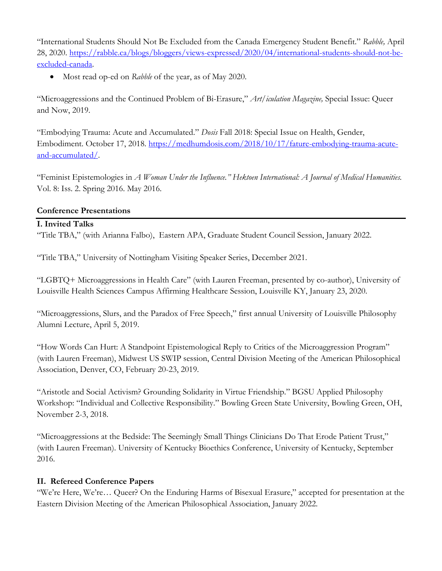"International Students Should Not Be Excluded from the Canada Emergency Student Benefit." *Rabble,* April 28, 2020. https://rabble.ca/blogs/bloggers/views-expressed/2020/04/international-students-should-not-beexcluded-canada.

• Most read op-ed on *Rabble* of the year, as of May 2020.

"Microaggressions and the Continued Problem of Bi-Erasure," *Art/iculation Magazine,* Special Issue: Queer and Now, 2019.

"Embodying Trauma: Acute and Accumulated." *Dosis* Fall 2018: Special Issue on Health, Gender, Embodiment. October 17, 2018. https://medhumdosis.com/2018/10/17/fature-embodying-trauma-acuteand-accumulated/.

"Feminist Epistemologies in *A Woman Under the Influence." Hektoen International: A Journal of Medical Humanities.*  Vol. 8: Iss. 2. Spring 2016. May 2016.

### **Conference Presentations**

### **I. Invited Talks**

"Title TBA," (with Arianna Falbo), Eastern APA, Graduate Student Council Session, January 2022.

"Title TBA," University of Nottingham Visiting Speaker Series, December 2021.

"LGBTQ+ Microaggressions in Health Care" (with Lauren Freeman, presented by co-author), University of Louisville Health Sciences Campus Affirming Healthcare Session, Louisville KY, January 23, 2020.

"Microaggressions, Slurs, and the Paradox of Free Speech," first annual University of Louisville Philosophy Alumni Lecture, April 5, 2019.

"How Words Can Hurt: A Standpoint Epistemological Reply to Critics of the Microaggression Program" (with Lauren Freeman), Midwest US SWIP session, Central Division Meeting of the American Philosophical Association, Denver, CO, February 20-23, 2019.

"Aristotle and Social Activism? Grounding Solidarity in Virtue Friendship." BGSU Applied Philosophy Workshop: "Individual and Collective Responsibility." Bowling Green State University, Bowling Green, OH, November 2-3, 2018.

"Microaggressions at the Bedside: The Seemingly Small Things Clinicians Do That Erode Patient Trust," (with Lauren Freeman). University of Kentucky Bioethics Conference, University of Kentucky, September 2016.

# **II. Refereed Conference Papers**

"We're Here, We're… Queer? On the Enduring Harms of Bisexual Erasure," accepted for presentation at the Eastern Division Meeting of the American Philosophical Association, January 2022.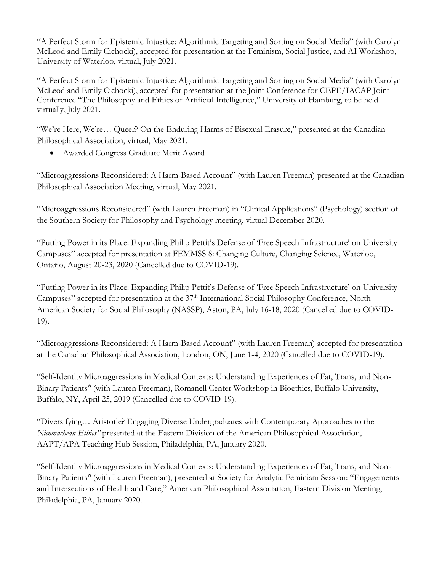"A Perfect Storm for Epistemic Injustice: Algorithmic Targeting and Sorting on Social Media" (with Carolyn McLeod and Emily Cichocki), accepted for presentation at the Feminism, Social Justice, and AI Workshop, University of Waterloo, virtual, July 2021.

"A Perfect Storm for Epistemic Injustice: Algorithmic Targeting and Sorting on Social Media" (with Carolyn McLeod and Emily Cichocki), accepted for presentation at the Joint Conference for CEPE/IACAP Joint Conference "The Philosophy and Ethics of Artificial Intelligence," University of Hamburg, to be held virtually, July 2021.

"We're Here, We're… Queer? On the Enduring Harms of Bisexual Erasure," presented at the Canadian Philosophical Association, virtual, May 2021.

• Awarded Congress Graduate Merit Award

"Microaggressions Reconsidered: A Harm-Based Account" (with Lauren Freeman) presented at the Canadian Philosophical Association Meeting, virtual, May 2021.

"Microaggressions Reconsidered" (with Lauren Freeman) in "Clinical Applications" (Psychology) section of the Southern Society for Philosophy and Psychology meeting, virtual December 2020.

"Putting Power in its Place: Expanding Philip Pettit's Defense of 'Free Speech Infrastructure' on University Campuses" accepted for presentation at FEMMSS 8: Changing Culture, Changing Science, Waterloo, Ontario, August 20-23, 2020 (Cancelled due to COVID-19).

"Putting Power in its Place: Expanding Philip Pettit's Defense of 'Free Speech Infrastructure' on University Campuses" accepted for presentation at the 37<sup>th</sup> International Social Philosophy Conference, North American Society for Social Philosophy (NASSP), Aston, PA, July 16-18, 2020 (Cancelled due to COVID-19).

"Microaggressions Reconsidered: A Harm-Based Account" (with Lauren Freeman) accepted for presentation at the Canadian Philosophical Association, London, ON, June 1-4, 2020 (Cancelled due to COVID-19).

"Self-Identity Microaggressions in Medical Contexts: Understanding Experiences of Fat, Trans, and Non-Binary Patients*"* (with Lauren Freeman), Romanell Center Workshop in Bioethics, Buffalo University, Buffalo, NY, April 25, 2019 (Cancelled due to COVID-19).

"Diversifying… Aristotle? Engaging Diverse Undergraduates with Contemporary Approaches to the *Nicomachean Ethics"* presented at the Eastern Division of the American Philosophical Association, AAPT/APA Teaching Hub Session, Philadelphia, PA, January 2020.

"Self-Identity Microaggressions in Medical Contexts: Understanding Experiences of Fat, Trans, and Non-Binary Patients*"* (with Lauren Freeman), presented at Society for Analytic Feminism Session: "Engagements and Intersections of Health and Care," American Philosophical Association, Eastern Division Meeting, Philadelphia, PA, January 2020.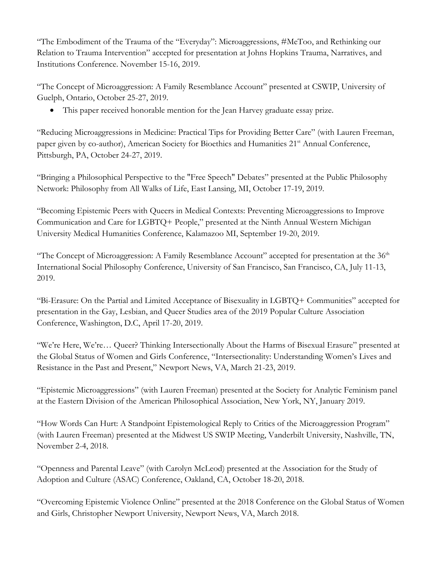"The Embodiment of the Trauma of the "Everyday": Microaggressions, #MeToo, and Rethinking our Relation to Trauma Intervention" accepted for presentation at Johns Hopkins Trauma, Narratives, and Institutions Conference. November 15-16, 2019.

"The Concept of Microaggression: A Family Resemblance Account" presented at CSWIP, University of Guelph, Ontario, October 25-27, 2019.

• This paper received honorable mention for the Jean Harvey graduate essay prize.

"Reducing Microaggressions in Medicine: Practical Tips for Providing Better Care" (with Lauren Freeman, paper given by co-author), American Society for Bioethics and Humanities  $21<sup>st</sup>$  Annual Conference, Pittsburgh, PA, October 24-27, 2019.

"Bringing a Philosophical Perspective to the "Free Speech" Debates" presented at the Public Philosophy Network: Philosophy from All Walks of Life, East Lansing, MI, October 17-19, 2019.

"Becoming Epistemic Peers with Queers in Medical Contexts: Preventing Microaggressions to Improve Communication and Care for LGBTQ+ People," presented at the Ninth Annual Western Michigan University Medical Humanities Conference, Kalamazoo MI, September 19-20, 2019.

"The Concept of Microaggression: A Family Resemblance Account" accepted for presentation at the  $36<sup>th</sup>$ International Social Philosophy Conference, University of San Francisco, San Francisco, CA, July 11-13, 2019.

"Bi-Erasure: On the Partial and Limited Acceptance of Bisexuality in LGBTQ+ Communities" accepted for presentation in the Gay, Lesbian, and Queer Studies area of the 2019 Popular Culture Association Conference, Washington, D.C, April 17-20, 2019.

"We're Here, We're… Queer? Thinking Intersectionally About the Harms of Bisexual Erasure" presented at the Global Status of Women and Girls Conference, "Intersectionality: Understanding Women's Lives and Resistance in the Past and Present," Newport News, VA, March 21-23, 2019.

"Epistemic Microaggressions" (with Lauren Freeman) presented at the Society for Analytic Feminism panel at the Eastern Division of the American Philosophical Association, New York, NY, January 2019.

"How Words Can Hurt: A Standpoint Epistemological Reply to Critics of the Microaggression Program" (with Lauren Freeman) presented at the Midwest US SWIP Meeting, Vanderbilt University, Nashville, TN, November 2-4, 2018.

"Openness and Parental Leave" (with Carolyn McLeod) presented at the Association for the Study of Adoption and Culture (ASAC) Conference, Oakland, CA, October 18-20, 2018.

"Overcoming Epistemic Violence Online" presented at the 2018 Conference on the Global Status of Women and Girls, Christopher Newport University, Newport News, VA, March 2018.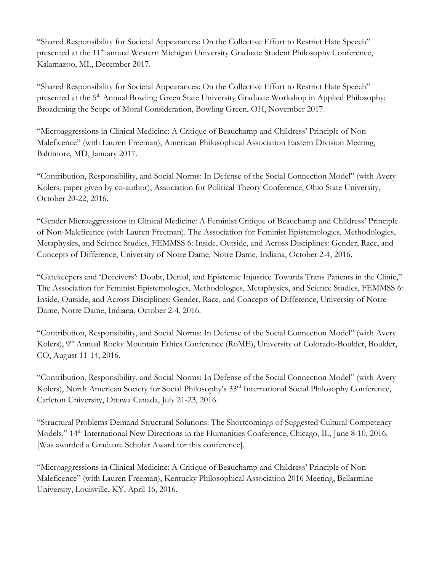"Shared Responsibility for Societal Appearances: On the Collective Effort to Restrict Hate Speech" presented at the 11<sup>th</sup> annual Western Michigan University Graduate Student Philosophy Conference, Kalamazoo, MI., December 2017.

"Shared Responsibility for Societal Appearances: On the Collective Effort to Restrict Hate Speech" presented at the 5<sup>th</sup> Annual Bowling Green State University Graduate Workshop in Applied Philosophy: Broadening the Scope of Moral Consideration, Bowling Green, OH, November 2017.

"Microaggressions in Clinical Medicine: A Critique of Beauchamp and Childress' Principle of Non-Maleficence" (with Lauren Freeman), American Philosophical Association Eastern Division Meeting, Baltimore, MD, January 2017.

"Contribution, Responsibility, and Social Norms: In Defense of the Social Connection Model" (with Avery Kolers, paper given by co-author), Association for Political Theory Conference, Ohio State University, October 20-22, 2016.

"Gender Microaggressions in Clinical Medicine: A Feminist Critique of Beauchamp and Childress' Principle of Non-Maleficence (with Lauren Freeman). The Association for Feminist Epistemologies, Methodologies, Metaphysics, and Science Studies, FEMMSS 6: Inside, Outside, and Across Disciplines: Gender, Race, and Concepts of Difference, University of Notre Dame, Notre Dame, Indiana, October 2-4, 2016.

"Gatekeepers and 'Deceivers': Doubt, Denial, and Epistemic Injustice Towards Trans Patients in the Clinic," The Association for Feminist Epistemologies, Methodologies, Metaphysics, and Science Studies, FEMMSS 6: Inside, Outside, and Across Disciplines: Gender, Race, and Concepts of Difference, University of Notre Dame, Notre Dame, Indiana, October 2-4, 2016.

"Contribution, Responsibility, and Social Norms: In Defense of the Social Connection Model" (with Avery Kolers), 9<sup>th</sup> Annual Rocky Mountain Ethics Conference (RoME), University of Colorado-Boulder, Boulder, CO, August 11-14, 2016.

"Contribution, Responsibility, and Social Norms: In Defense of the Social Connection Model" (with Avery Kolers), North American Society for Social Philosophy's 33rd International Social Philosophy Conference, Carleton University, Ottawa Canada, July 21-23, 2016.

"Structural Problems Demand Structural Solutions: The Shortcomings of Suggested Cultural Competency Models," 14<sup>th</sup> International New Directions in the Humanities Conference, Chicago, IL, June 8-10, 2016. [Was awarded a Graduate Scholar Award for this conference].

"Microaggressions in Clinical Medicine: A Critique of Beauchamp and Childress' Principle of Non-Maleficence" (with Lauren Freeman), Kentucky Philosophical Association 2016 Meeting, Bellarmine University, Louisville, KY, April 16, 2016.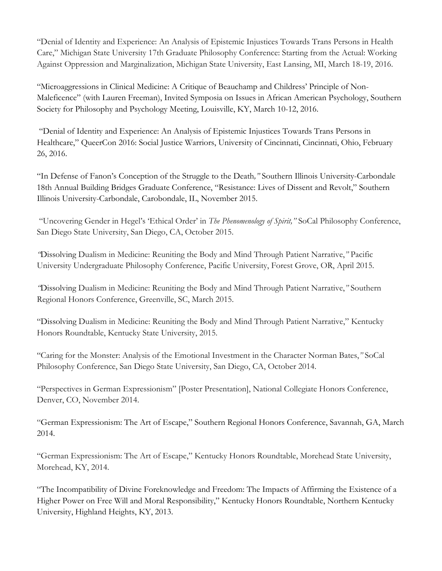"Denial of Identity and Experience: An Analysis of Epistemic Injustices Towards Trans Persons in Health Care," Michigan State University 17th Graduate Philosophy Conference: Starting from the Actual: Working Against Oppression and Marginalization, Michigan State University, East Lansing, MI, March 18-19, 2016.

"Microaggressions in Clinical Medicine: A Critique of Beauchamp and Childress' Principle of Non-Maleficence" (with Lauren Freeman), Invited Symposia on Issues in African American Psychology, Southern Society for Philosophy and Psychology Meeting, Louisville, KY, March 10-12, 2016.

"Denial of Identity and Experience: An Analysis of Epistemic Injustices Towards Trans Persons in Healthcare," QueerCon 2016: Social Justice Warriors, University of Cincinnati, Cincinnati, Ohio, February 26, 2016.

"In Defense of Fanon's Conception of the Struggle to the Death*,"* Southern Illinois University-Carbondale 18th Annual Building Bridges Graduate Conference, "Resistance: Lives of Dissent and Revolt," Southern Illinois University-Carbondale, Carobondale, IL, November 2015.

"Uncovering Gender in Hegel's 'Ethical Order' in *The Phenomenology of Spirit,"* SoCal Philosophy Conference, San Diego State University, San Diego, CA, October 2015.

*"*Dissolving Dualism in Medicine: Reuniting the Body and Mind Through Patient Narrative,*"* Pacific University Undergraduate Philosophy Conference, Pacific University, Forest Grove, OR, April 2015.

*"*Dissolving Dualism in Medicine: Reuniting the Body and Mind Through Patient Narrative,*"* Southern Regional Honors Conference, Greenville, SC, March 2015.

"Dissolving Dualism in Medicine: Reuniting the Body and Mind Through Patient Narrative," Kentucky Honors Roundtable, Kentucky State University, 2015.

"Caring for the Monster: Analysis of the Emotional Investment in the Character Norman Bates,*"* SoCal Philosophy Conference, San Diego State University, San Diego, CA, October 2014.

"Perspectives in German Expressionism" [Poster Presentation], National Collegiate Honors Conference, Denver, CO, November 2014.

"German Expressionism: The Art of Escape," Southern Regional Honors Conference, Savannah, GA, March 2014.

"German Expressionism: The Art of Escape," Kentucky Honors Roundtable, Morehead State University, Morehead, KY, 2014.

"The Incompatibility of Divine Foreknowledge and Freedom: The Impacts of Affirming the Existence of a Higher Power on Free Will and Moral Responsibility," Kentucky Honors Roundtable, Northern Kentucky University, Highland Heights, KY, 2013.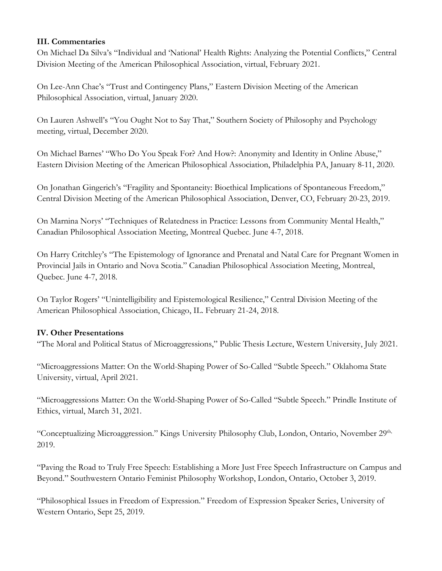### **III. Commentaries**

On Michael Da Silva's "Individual and 'National' Health Rights: Analyzing the Potential Conflicts," Central Division Meeting of the American Philosophical Association, virtual, February 2021.

On Lee-Ann Chae's "Trust and Contingency Plans," Eastern Division Meeting of the American Philosophical Association, virtual, January 2020.

On Lauren Ashwell's "You Ought Not to Say That," Southern Society of Philosophy and Psychology meeting, virtual, December 2020.

On Michael Barnes' "Who Do You Speak For? And How?: Anonymity and Identity in Online Abuse," Eastern Division Meeting of the American Philosophical Association, Philadelphia PA, January 8-11, 2020.

On Jonathan Gingerich's "Fragility and Spontaneity: Bioethical Implications of Spontaneous Freedom," Central Division Meeting of the American Philosophical Association, Denver, CO, February 20-23, 2019.

On Marnina Norys' "Techniques of Relatedness in Practice: Lessons from Community Mental Health," Canadian Philosophical Association Meeting, Montreal Quebec. June 4-7, 2018.

On Harry Critchley's "The Epistemology of Ignorance and Prenatal and Natal Care for Pregnant Women in Provincial Jails in Ontario and Nova Scotia." Canadian Philosophical Association Meeting, Montreal, Quebec. June 4-7, 2018.

On Taylor Rogers' "Unintelligibility and Epistemological Resilience," Central Division Meeting of the American Philosophical Association, Chicago, IL. February 21-24, 2018.

### **IV. Other Presentations**

"The Moral and Political Status of Microaggressions," Public Thesis Lecture, Western University, July 2021.

"Microaggressions Matter: On the World-Shaping Power of So-Called "Subtle Speech." Oklahoma State University, virtual, April 2021.

"Microaggressions Matter: On the World-Shaping Power of So-Called "Subtle Speech." Prindle Institute of Ethics, virtual, March 31, 2021.

"Conceptualizing Microaggression." Kings University Philosophy Club, London, Ontario, November 29<sup>th,</sup> 2019.

"Paving the Road to Truly Free Speech: Establishing a More Just Free Speech Infrastructure on Campus and Beyond." Southwestern Ontario Feminist Philosophy Workshop, London, Ontario, October 3, 2019.

"Philosophical Issues in Freedom of Expression." Freedom of Expression Speaker Series, University of Western Ontario, Sept 25, 2019.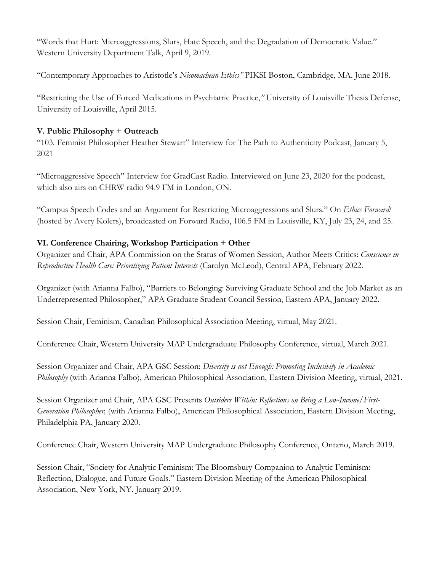"Words that Hurt: Microaggressions, Slurs, Hate Speech, and the Degradation of Democratic Value." Western University Department Talk, April 9, 2019.

"Contemporary Approaches to Aristotle's *Nicomachean Ethics"* PIKSI Boston, Cambridge, MA. June 2018.

"Restricting the Use of Forced Medications in Psychiatric Practice,*"* University of Louisville Thesis Defense, University of Louisville, April 2015.

### **V. Public Philosophy + Outreach**

"103. Feminist Philosopher Heather Stewart" Interview for The Path to Authenticity Podcast, January 5, 2021

"Microaggressive Speech" Interview for GradCast Radio. Interviewed on June 23, 2020 for the podcast, which also airs on CHRW radio 94.9 FM in London, ON.

"Campus Speech Codes and an Argument for Restricting Microaggressions and Slurs." On *Ethics Forward!* (hosted by Avery Kolers), broadcasted on Forward Radio, 106.5 FM in Louisville, KY, July 23, 24, and 25.

# **VI. Conference Chairing, Workshop Participation + Other**

Organizer and Chair, APA Commission on the Status of Women Session, Author Meets Critics: *Conscience in Reproductive Health Care: Prioritizing Patient Interests* (Carolyn McLeod), Central APA, February 2022.

Organizer (with Arianna Falbo), "Barriers to Belonging: Surviving Graduate School and the Job Market as an Underrepresented Philosopher," APA Graduate Student Council Session, Eastern APA, January 2022.

Session Chair, Feminism, Canadian Philosophical Association Meeting, virtual, May 2021.

Conference Chair, Western University MAP Undergraduate Philosophy Conference, virtual, March 2021.

Session Organizer and Chair, APA GSC Session: *Diversity is not Enough: Promoting Inclusivity in Academic Philosophy* (with Arianna Falbo), American Philosophical Association, Eastern Division Meeting, virtual, 2021.

Session Organizer and Chair, APA GSC Presents *Outsiders Within: Reflections on Being a Low-Income/First-Generation Philosopher,* (with Arianna Falbo), American Philosophical Association, Eastern Division Meeting, Philadelphia PA, January 2020.

Conference Chair, Western University MAP Undergraduate Philosophy Conference, Ontario, March 2019.

Session Chair, "Society for Analytic Feminism: The Bloomsbury Companion to Analytic Feminism: Reflection, Dialogue, and Future Goals." Eastern Division Meeting of the American Philosophical Association, New York, NY. January 2019.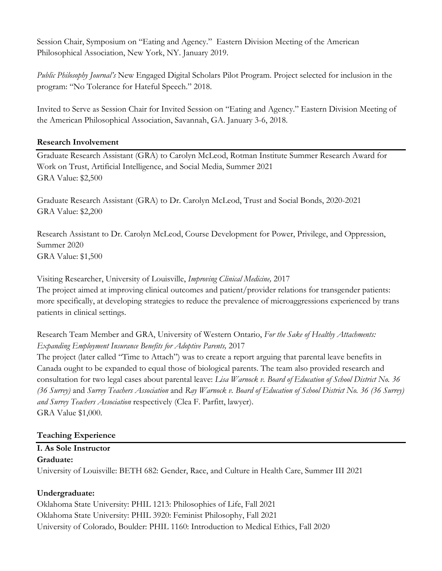Session Chair, Symposium on "Eating and Agency." Eastern Division Meeting of the American Philosophical Association, New York, NY. January 2019.

*Public Philosophy Journal's* New Engaged Digital Scholars Pilot Program. Project selected for inclusion in the program: "No Tolerance for Hateful Speech." 2018.

Invited to Serve as Session Chair for Invited Session on "Eating and Agency." Eastern Division Meeting of the American Philosophical Association, Savannah, GA. January 3-6, 2018.

#### **Research Involvement**

Graduate Research Assistant (GRA) to Carolyn McLeod, Rotman Institute Summer Research Award for Work on Trust, Artificial Intelligence, and Social Media, Summer 2021 GRA Value: \$2,500

Graduate Research Assistant (GRA) to Dr. Carolyn McLeod, Trust and Social Bonds, 2020-2021 GRA Value: \$2,200

Research Assistant to Dr. Carolyn McLeod, Course Development for Power, Privilege, and Oppression, Summer 2020 GRA Value: \$1,500

Visiting Researcher, University of Louisville, *Improving Clinical Medicine,* 2017 The project aimed at improving clinical outcomes and patient/provider relations for transgender patients: more specifically, at developing strategies to reduce the prevalence of microaggressions experienced by trans patients in clinical settings.

Research Team Member and GRA, University of Western Ontario, *For the Sake of Healthy Attachments: Expanding Employment Insurance Benefits for Adoptive Parents,* 2017

The project (later called "Time to Attach") was to create a report arguing that parental leave benefits in Canada ought to be expanded to equal those of biological parents. The team also provided research and consultation for two legal cases about parental leave: *Lisa Warnock v. Board of Education of School District No. 36 (36 Surrey)* and *Surrey Teachers Association* and *Ray Warnock v. Board of Education of School District No. 36 (36 Surrey) and Surrey Teachers Association* respectively (Clea F. Parfitt, lawyer). GRA Value \$1,000.

### **Teaching Experience**

#### **I. As Sole Instructor Graduate:**

University of Louisville: BETH 682: Gender, Race, and Culture in Health Care, Summer III 2021

### **Undergraduate:**

Oklahoma State University: PHIL 1213: Philosophies of Life, Fall 2021 Oklahoma State University: PHIL 3920: Feminist Philosophy, Fall 2021 University of Colorado, Boulder: PHIL 1160: Introduction to Medical Ethics, Fall 2020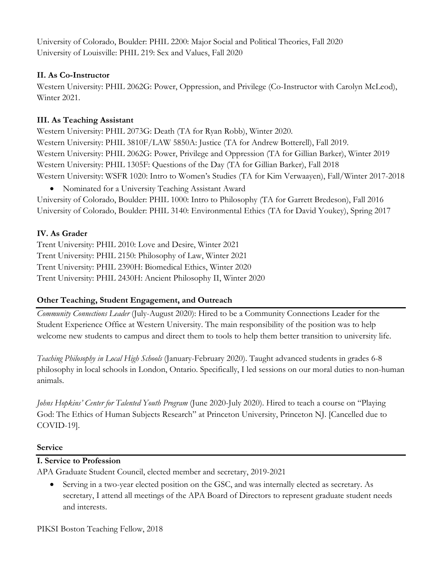University of Colorado, Boulder: PHIL 2200: Major Social and Political Theories, Fall 2020 University of Louisville: PHIL 219: Sex and Values, Fall 2020

# **II. As Co-Instructor**

Western University: PHIL 2062G: Power, Oppression, and Privilege (Co-Instructor with Carolyn McLeod), Winter 2021.

### **III. As Teaching Assistant**

Western University: PHIL 2073G: Death (TA for Ryan Robb), Winter 2020. Western University: PHIL 3810F/LAW 5850A: Justice (TA for Andrew Botterell), Fall 2019. Western University: PHIL 2062G: Power, Privilege and Oppression (TA for Gillian Barker), Winter 2019 Western University: PHIL 1305F: Questions of the Day (TA for Gillian Barker), Fall 2018 Western University: WSFR 1020: Intro to Women's Studies (TA for Kim Verwaayen), Fall/Winter 2017-2018

• Nominated for a University Teaching Assistant Award

University of Colorado, Boulder: PHIL 1000: Intro to Philosophy (TA for Garrett Bredeson), Fall 2016 University of Colorado, Boulder: PHIL 3140: Environmental Ethics (TA for David Youkey), Spring 2017

# **IV. As Grader**

Trent University: PHIL 2010: Love and Desire, Winter 2021 Trent University: PHIL 2150: Philosophy of Law, Winter 2021 Trent University: PHIL 2390H: Biomedical Ethics, Winter 2020 Trent University: PHIL 2430H: Ancient Philosophy II, Winter 2020

# **Other Teaching, Student Engagement, and Outreach**

*Community Connections Leader* (July-August 2020): Hired to be a Community Connections Leader for the Student Experience Office at Western University. The main responsibility of the position was to help welcome new students to campus and direct them to tools to help them better transition to university life.

*Teaching Philosophy in Local High Schools* (January-February 2020). Taught advanced students in grades 6-8 philosophy in local schools in London, Ontario. Specifically, I led sessions on our moral duties to non-human animals.

*Johns Hopkins' Center for Talented Youth Program* (June 2020-July 2020). Hired to teach a course on "Playing God: The Ethics of Human Subjects Research" at Princeton University, Princeton NJ. [Cancelled due to COVID-19].

### **Service**

### **I. Service to Profession**

APA Graduate Student Council, elected member and secretary, 2019-2021

• Serving in a two-year elected position on the GSC, and was internally elected as secretary. As secretary, I attend all meetings of the APA Board of Directors to represent graduate student needs and interests.